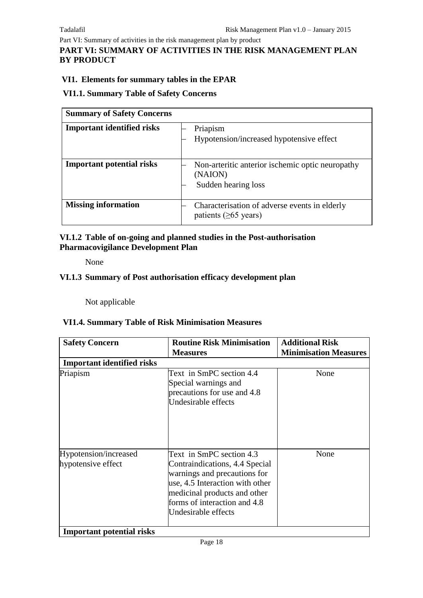Part VI: Summary of activities in the risk management plan by product

# **PART VI: SUMMARY OF ACTIVITIES IN THE RISK MANAGEMENT PLAN BY PRODUCT**

## **VI1. Elements for summary tables in the EPAR**

## **VI1.1. Summary Table of Safety Concerns**

| <b>Summary of Safety Concerns</b> |                                                                                    |  |  |
|-----------------------------------|------------------------------------------------------------------------------------|--|--|
| <b>Important identified risks</b> | Priapism<br>Hypotension/increased hypotensive effect                               |  |  |
| <b>Important potential risks</b>  | Non-arteritic anterior ischemic optic neuropathy<br>(NAION)<br>Sudden hearing loss |  |  |
| <b>Missing information</b>        | Characterisation of adverse events in elderly<br>patients ( $\geq 65$ years)       |  |  |

# **VI.1.2 Table of on-going and planned studies in the Post-authorisation Pharmacovigilance Development Plan**

None

## **VI.1.3 Summary of Post authorisation efficacy development plan**

Not applicable

## **VI1.4. Summary Table of Risk Minimisation Measures**

| <b>Safety Concern</b>                       | <b>Routine Risk Minimisation</b><br><b>Measures</b>                                                                                                                                                                  | <b>Additional Risk</b><br><b>Minimisation Measures</b> |
|---------------------------------------------|----------------------------------------------------------------------------------------------------------------------------------------------------------------------------------------------------------------------|--------------------------------------------------------|
| <b>Important identified risks</b>           |                                                                                                                                                                                                                      |                                                        |
| Priapism                                    | Text in SmPC section 4.4<br>Special warnings and<br>precautions for use and 4.8<br>Undesirable effects                                                                                                               | None                                                   |
| Hypotension/increased<br>hypotensive effect | Text in SmPC section 4.3<br>Contraindications, 4.4 Special<br>warnings and precautions for<br>use, 4.5 Interaction with other<br>medicinal products and other<br>forms of interaction and 4.8<br>Undesirable effects | None                                                   |
| <b>Important potential risks</b>            |                                                                                                                                                                                                                      |                                                        |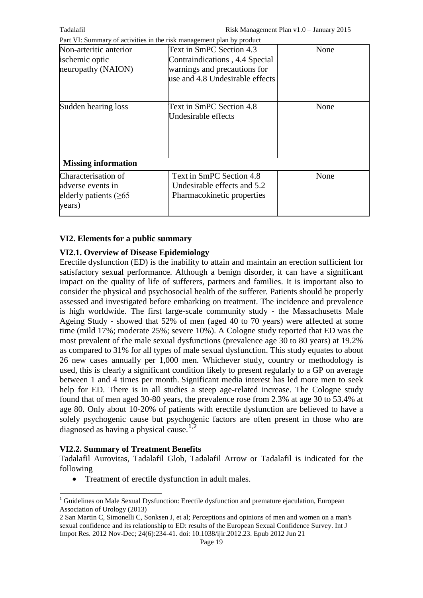| Non-arteritic anterior         | Part VI: Summary of activities in the risk management plan by product<br>Text in SmPC Section 4.3<br>None |      |
|--------------------------------|-----------------------------------------------------------------------------------------------------------|------|
| ischemic optic                 | Contraindications, 4.4 Special                                                                            |      |
| neuropathy (NAION)             | warnings and precautions for                                                                              |      |
|                                | use and 4.8 Undesirable effects                                                                           |      |
| Sudden hearing loss            | Text in SmPC Section 4.8                                                                                  | None |
|                                | Undesirable effects                                                                                       |      |
|                                |                                                                                                           |      |
|                                |                                                                                                           |      |
| <b>Missing information</b>     |                                                                                                           |      |
| Characterisation of            | Text in SmPC Section 4.8                                                                                  | None |
| adverse events in              | Undesirable effects and 5.2                                                                               |      |
| elderly patients ( $\geq 65$ ) | Pharmacokinetic properties                                                                                |      |
| years)                         |                                                                                                           |      |

## **VI2. Elements for a public summary**

## **VI2.1. Overview of Disease Epidemiology**

Erectile dysfunction (ED) is the inability to attain and maintain an erection sufficient for satisfactory sexual performance. Although a benign disorder, it can have a significant impact on the quality of life of sufferers, partners and families. It is important also to consider the physical and psychosocial health of the sufferer. Patients should be properly assessed and investigated before embarking on treatment. The incidence and prevalence is high worldwide. The first large-scale community study - the Massachusetts Male Ageing Study - showed that 52% of men (aged 40 to 70 years) were affected at some time (mild 17%; moderate 25%; severe 10%). A Cologne study reported that ED was the most prevalent of the male sexual dysfunctions (prevalence age 30 to 80 years) at 19.2% as compared to 31% for all types of male sexual dysfunction. This study equates to about 26 new cases annually per 1,000 men. Whichever study, country or methodology is used, this is clearly a significant condition likely to present regularly to a GP on average between 1 and 4 times per month. Significant media interest has led more men to seek help for ED. There is in all studies a steep age-related increase. The Cologne study found that of men aged 30-80 years, the prevalence rose from 2.3% at age 30 to 53.4% at age 80. Only about 10-20% of patients with erectile dysfunction are believed to have a solely psychogenic cause but psychogenic factors are often present in those who are diagnosed as having a physical cause.<sup>1,2</sup>

## **VI2.2. Summary of Treatment Benefits**

-

Tadalafil Aurovitas, Tadalafil Glob, Tadalafil Arrow or Tadalafil is indicated for the following

• Treatment of erectile dysfunction in adult males.

<sup>&</sup>lt;sup>1</sup> Guidelines on Male Sexual Dysfunction: Erectile dysfunction and premature ejaculation, European Association of Urology (2013)

<sup>2</sup> San Martin C, Simonelli C, Sonksen J, et al; Perceptions and opinions of men and women on a man's sexual confidence and its relationship to ED: results of the European Sexual Confidence Survey. Int J Impot Res. 2012 Nov-Dec; 24(6):234-41. doi: 10.1038/ijir.2012.23. Epub 2012 Jun 21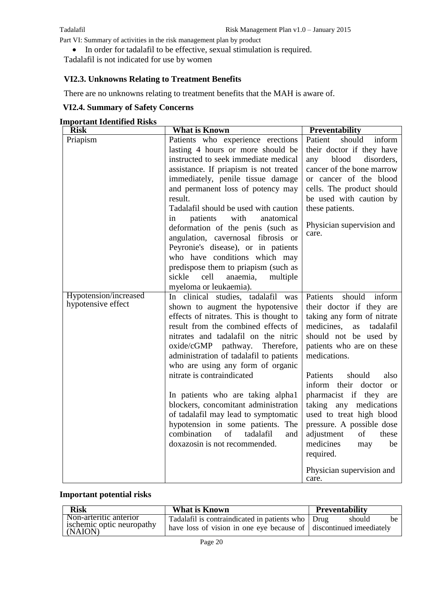Part VI: Summary of activities in the risk management plan by product

In order for tadalafil to be effective, sexual stimulation is required.

Tadalafil is not indicated for use by women

# **VI2.3. Unknowns Relating to Treatment Benefits**

There are no unknowns relating to treatment benefits that the MAH is aware of.

## **VI2.4. Summary of Safety Concerns**

| <b>Important Identified Risks</b> |                                             |                               |
|-----------------------------------|---------------------------------------------|-------------------------------|
| <b>Risk</b>                       | <b>What is Known</b>                        | <b>Preventability</b>         |
| Priapism                          | Patients who experience erections           | should<br>inform<br>Patient   |
|                                   | lasting 4 hours or more should be           | their doctor if they have     |
|                                   | instructed to seek immediate medical        | disorders,<br>blood<br>any    |
|                                   | assistance. If priapism is not treated      | cancer of the bone marrow     |
|                                   | immediately, penile tissue damage           | or cancer of the blood        |
|                                   | and permanent loss of potency may           | cells. The product should     |
|                                   | result.                                     | be used with caution by       |
|                                   | Tadalafil should be used with caution       | these patients.               |
|                                   | patients<br>with<br>anatomical<br>in        |                               |
|                                   | deformation of the penis (such as           | Physician supervision and     |
|                                   | angulation, cavernosal fibrosis or          | care.                         |
|                                   | Peyronie's disease), or in patients         |                               |
|                                   | who have conditions which may               |                               |
|                                   | predispose them to priapism (such as        |                               |
|                                   | sickle<br>cell<br>anaemia,<br>multiple      |                               |
|                                   | myeloma or leukaemia).                      |                               |
| Hypotension/increased             | In clinical studies, tadalafil was          | Patients<br>should inform     |
| hypotensive effect                | shown to augment the hypotensive            | their doctor if they are      |
|                                   | effects of nitrates. This is thought to     | taking any form of nitrate    |
|                                   | result from the combined effects of         | medicines,<br>tadalafil<br>as |
|                                   | nitrates and tadalafil on the nitric        | should not be used by         |
|                                   | $oxide/cGMP$ pathway.<br>Therefore,         | patients who are on these     |
|                                   | administration of tadalafil to patients     | medications.                  |
|                                   | who are using any form of organic           |                               |
|                                   | nitrate is contraindicated                  | Patients<br>should<br>also    |
|                                   |                                             | inform their doctor or        |
|                                   | In patients who are taking alpha1           | pharmacist if they are        |
|                                   | blockers, concomitant administration        | taking any medications        |
|                                   | of tadalafil may lead to symptomatic        | used to treat high blood      |
|                                   | hypotension in some patients. The           | pressure. A possible dose     |
|                                   | combination<br>$\sigma$<br>tadalafil<br>and | adjustment<br>of<br>these     |
|                                   | doxazosin is not recommended.               | medicines<br>be<br>may        |
|                                   |                                             | required.                     |
|                                   |                                             |                               |
|                                   |                                             | Physician supervision and     |
|                                   |                                             | care.                         |

## **Important potential risks**

| <b>Risk</b>                                                    | What is Known                                                                                                               | <b>Preventability</b> |        |    |
|----------------------------------------------------------------|-----------------------------------------------------------------------------------------------------------------------------|-----------------------|--------|----|
| Non-arteritic anterior<br>ischemic optic neuropathy<br>(NAION) | Tadalafil is contraindicated in patients who   Drug<br>have loss of vision in one eye because of   discontinued imeediately |                       | should | be |